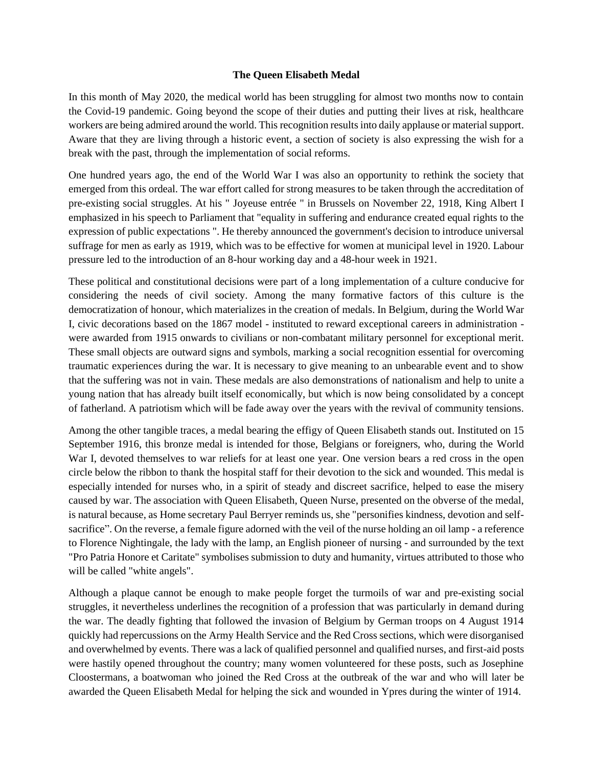## **The Queen Elisabeth Medal**

In this month of May 2020, the medical world has been struggling for almost two months now to contain the Covid-19 pandemic. Going beyond the scope of their duties and putting their lives at risk, healthcare workers are being admired around the world. This recognition resultsinto daily applause or material support. Aware that they are living through a historic event, a section of society is also expressing the wish for a break with the past, through the implementation of social reforms.

One hundred years ago, the end of the World War I was also an opportunity to rethink the society that emerged from this ordeal. The war effort called for strong measures to be taken through the accreditation of pre-existing social struggles. At his " Joyeuse entrée " in Brussels on November 22, 1918, King Albert I emphasized in his speech to Parliament that "equality in suffering and endurance created equal rights to the expression of public expectations ". He thereby announced the government's decision to introduce universal suffrage for men as early as 1919, which was to be effective for women at municipal level in 1920. Labour pressure led to the introduction of an 8-hour working day and a 48-hour week in 1921.

These political and constitutional decisions were part of a long implementation of a culture conducive for considering the needs of civil society. Among the many formative factors of this culture is the democratization of honour, which materializes in the creation of medals. In Belgium, during the World War I, civic decorations based on the 1867 model - instituted to reward exceptional careers in administration were awarded from 1915 onwards to civilians or non-combatant military personnel for exceptional merit. These small objects are outward signs and symbols, marking a social recognition essential for overcoming traumatic experiences during the war. It is necessary to give meaning to an unbearable event and to show that the suffering was not in vain. These medals are also demonstrations of nationalism and help to unite a young nation that has already built itself economically, but which is now being consolidated by a concept of fatherland. A patriotism which will be fade away over the years with the revival of community tensions.

Among the other tangible traces, a medal bearing the effigy of Queen Elisabeth stands out. Instituted on 15 September 1916, this bronze medal is intended for those, Belgians or foreigners, who, during the World War I, devoted themselves to war reliefs for at least one year. One version bears a red cross in the open circle below the ribbon to thank the hospital staff for their devotion to the sick and wounded. This medal is especially intended for nurses who, in a spirit of steady and discreet sacrifice, helped to ease the misery caused by war. The association with Queen Elisabeth, Queen Nurse, presented on the obverse of the medal, is natural because, as Home secretary Paul Berryer reminds us, she "personifies kindness, devotion and selfsacrifice". On the reverse, a female figure adorned with the veil of the nurse holding an oil lamp - a reference to Florence Nightingale, the lady with the lamp, an English pioneer of nursing - and surrounded by the text "Pro Patria Honore et Caritate" symbolises submission to duty and humanity, virtues attributed to those who will be called "white angels".

Although a plaque cannot be enough to make people forget the turmoils of war and pre-existing social struggles, it nevertheless underlines the recognition of a profession that was particularly in demand during the war. The deadly fighting that followed the invasion of Belgium by German troops on 4 August 1914 quickly had repercussions on the Army Health Service and the Red Cross sections, which were disorganised and overwhelmed by events. There was a lack of qualified personnel and qualified nurses, and first-aid posts were hastily opened throughout the country; many women volunteered for these posts, such as Josephine Cloostermans, a boatwoman who joined the Red Cross at the outbreak of the war and who will later be awarded the Queen Elisabeth Medal for helping the sick and wounded in Ypres during the winter of 1914.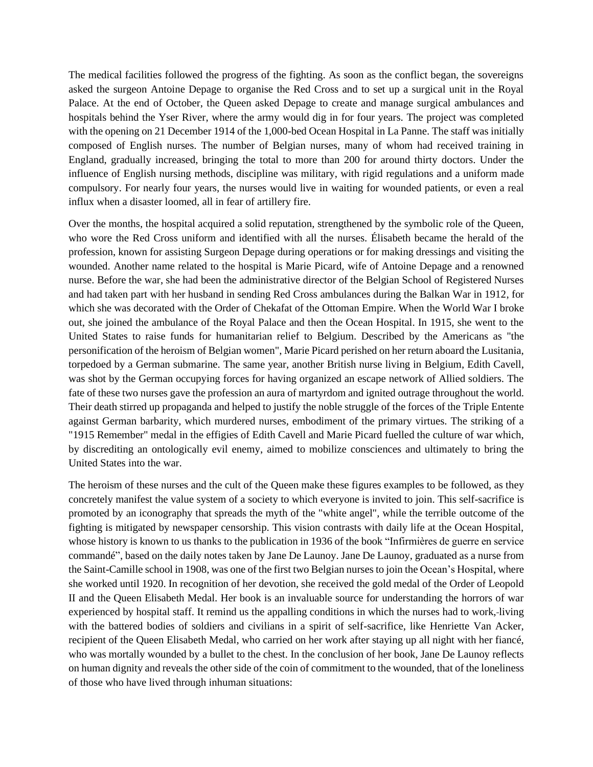The medical facilities followed the progress of the fighting. As soon as the conflict began, the sovereigns asked the surgeon Antoine Depage to organise the Red Cross and to set up a surgical unit in the Royal Palace. At the end of October, the Queen asked Depage to create and manage surgical ambulances and hospitals behind the Yser River, where the army would dig in for four years. The project was completed with the opening on 21 December 1914 of the 1,000-bed Ocean Hospital in La Panne. The staff was initially composed of English nurses. The number of Belgian nurses, many of whom had received training in England, gradually increased, bringing the total to more than 200 for around thirty doctors. Under the influence of English nursing methods, discipline was military, with rigid regulations and a uniform made compulsory. For nearly four years, the nurses would live in waiting for wounded patients, or even a real influx when a disaster loomed, all in fear of artillery fire.

Over the months, the hospital acquired a solid reputation, strengthened by the symbolic role of the Queen, who wore the Red Cross uniform and identified with all the nurses. Élisabeth became the herald of the profession, known for assisting Surgeon Depage during operations or for making dressings and visiting the wounded. Another name related to the hospital is Marie Picard, wife of Antoine Depage and a renowned nurse. Before the war, she had been the administrative director of the Belgian School of Registered Nurses and had taken part with her husband in sending Red Cross ambulances during the Balkan War in 1912, for which she was decorated with the Order of Chekafat of the Ottoman Empire. When the World War I broke out, she joined the ambulance of the Royal Palace and then the Ocean Hospital. In 1915, she went to the United States to raise funds for humanitarian relief to Belgium. Described by the Americans as "the personification of the heroism of Belgian women", Marie Picard perished on her return aboard the Lusitania, torpedoed by a German submarine. The same year, another British nurse living in Belgium, Edith Cavell, was shot by the German occupying forces for having organized an escape network of Allied soldiers. The fate of these two nurses gave the profession an aura of martyrdom and ignited outrage throughout the world. Their death stirred up propaganda and helped to justify the noble struggle of the forces of the Triple Entente against German barbarity, which murdered nurses, embodiment of the primary virtues. The striking of a "1915 Remember" medal in the effigies of Edith Cavell and Marie Picard fuelled the culture of war which, by discrediting an ontologically evil enemy, aimed to mobilize consciences and ultimately to bring the United States into the war.

The heroism of these nurses and the cult of the Queen make these figures examples to be followed, as they concretely manifest the value system of a society to which everyone is invited to join. This self-sacrifice is promoted by an iconography that spreads the myth of the "white angel", while the terrible outcome of the fighting is mitigated by newspaper censorship. This vision contrasts with daily life at the Ocean Hospital, whose history is known to us thanks to the publication in 1936 of the book "Infirmières de guerre en service commandé", based on the daily notes taken by Jane De Launoy. Jane De Launoy, graduated as a nurse from the Saint-Camille school in 1908, was one of the first two Belgian nurses to join the Ocean's Hospital, where she worked until 1920. In recognition of her devotion, she received the gold medal of the Order of Leopold II and the Queen Elisabeth Medal. Her book is an invaluable source for understanding the horrors of war experienced by hospital staff. It remind us the appalling conditions in which the nurses had to work, living with the battered bodies of soldiers and civilians in a spirit of self-sacrifice, like Henriette Van Acker, recipient of the Queen Elisabeth Medal, who carried on her work after staying up all night with her fiancé, who was mortally wounded by a bullet to the chest. In the conclusion of her book, Jane De Launoy reflects on human dignity and reveals the other side of the coin of commitment to the wounded, that of the loneliness of those who have lived through inhuman situations: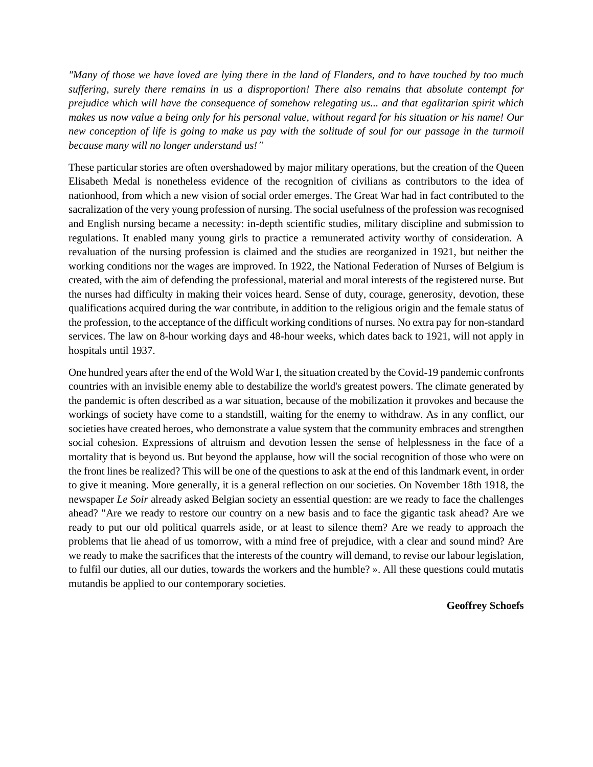*"Many of those we have loved are lying there in the land of Flanders, and to have touched by too much suffering, surely there remains in us a disproportion! There also remains that absolute contempt for prejudice which will have the consequence of somehow relegating us... and that egalitarian spirit which makes us now value a being only for his personal value, without regard for his situation or his name! Our new conception of life is going to make us pay with the solitude of soul for our passage in the turmoil because many will no longer understand us!"*

These particular stories are often overshadowed by major military operations, but the creation of the Queen Elisabeth Medal is nonetheless evidence of the recognition of civilians as contributors to the idea of nationhood, from which a new vision of social order emerges. The Great War had in fact contributed to the sacralization of the very young profession of nursing. The social usefulness of the profession was recognised and English nursing became a necessity: in-depth scientific studies, military discipline and submission to regulations. It enabled many young girls to practice a remunerated activity worthy of consideration. A revaluation of the nursing profession is claimed and the studies are reorganized in 1921, but neither the working conditions nor the wages are improved. In 1922, the National Federation of Nurses of Belgium is created, with the aim of defending the professional, material and moral interests of the registered nurse. But the nurses had difficulty in making their voices heard. Sense of duty, courage, generosity, devotion, these qualifications acquired during the war contribute, in addition to the religious origin and the female status of the profession, to the acceptance of the difficult working conditions of nurses. No extra pay for non-standard services. The law on 8-hour working days and 48-hour weeks, which dates back to 1921, will not apply in hospitals until 1937.

One hundred years after the end of the Wold War I, the situation created by the Covid-19 pandemic confronts countries with an invisible enemy able to destabilize the world's greatest powers. The climate generated by the pandemic is often described as a war situation, because of the mobilization it provokes and because the workings of society have come to a standstill, waiting for the enemy to withdraw. As in any conflict, our societies have created heroes, who demonstrate a value system that the community embraces and strengthen social cohesion. Expressions of altruism and devotion lessen the sense of helplessness in the face of a mortality that is beyond us. But beyond the applause, how will the social recognition of those who were on the front lines be realized? This will be one of the questions to ask at the end of this landmark event, in order to give it meaning. More generally, it is a general reflection on our societies. On November 18th 1918, the newspaper *Le Soir* already asked Belgian society an essential question: are we ready to face the challenges ahead? "Are we ready to restore our country on a new basis and to face the gigantic task ahead? Are we ready to put our old political quarrels aside, or at least to silence them? Are we ready to approach the problems that lie ahead of us tomorrow, with a mind free of prejudice, with a clear and sound mind? Are we ready to make the sacrifices that the interests of the country will demand, to revise our labour legislation, to fulfil our duties, all our duties, towards the workers and the humble? ». All these questions could mutatis mutandis be applied to our contemporary societies.

## **Geoffrey Schoefs**